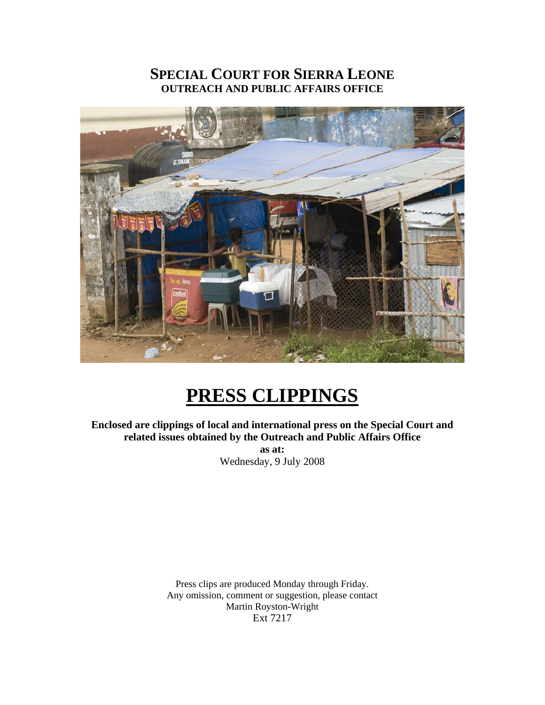### **SPECIAL COURT FOR SIERRA LEONE OUTREACH AND PUBLIC AFFAIRS OFFICE**



# **PRESS CLIPPINGS**

**Enclosed are clippings of local and international press on the Special Court and related issues obtained by the Outreach and Public Affairs Office as at:**  Wednesday, 9 July 2008

> Press clips are produced Monday through Friday. Any omission, comment or suggestion, please contact Martin Royston-Wright Ext 7217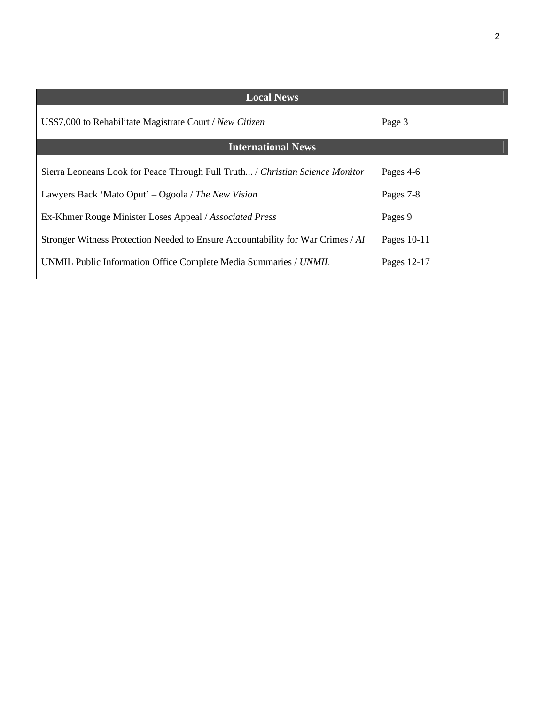| <b>Local News</b>                                                               |               |
|---------------------------------------------------------------------------------|---------------|
| US\$7,000 to Rehabilitate Magistrate Court / New Citizen                        | Page 3        |
| <b>International News</b>                                                       |               |
| Sierra Leoneans Look for Peace Through Full Truth / Christian Science Monitor   | Pages 4-6     |
| Lawyers Back 'Mato Oput' – Ogoola / The New Vision                              | Pages 7-8     |
| Ex-Khmer Rouge Minister Loses Appeal / Associated Press                         | Pages 9       |
| Stronger Witness Protection Needed to Ensure Accountability for War Crimes / AI | Pages $10-11$ |
| UNMIL Public Information Office Complete Media Summaries / UNMIL                | Pages 12-17   |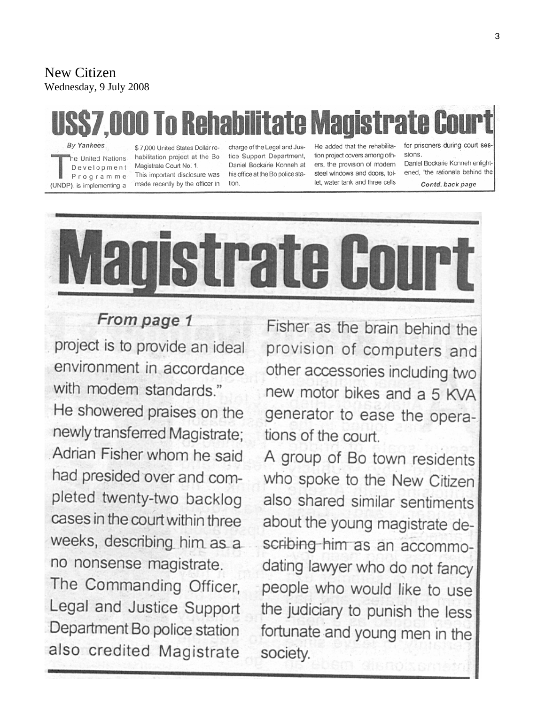#### New Citizen Wednesday, 9 July 2008

# rate Co

**By Yankees** he United Nations Development Programme (UNDP), is implementing a

\$7,000 United States Dollar rehabilitation project at the Bo Magistrate Court No. 1. This important disclosure was made recently by the officer in

charge of the Legal and Justice Support Department, Daniel Bockarie Konneh at his office at the Bo police station

He added that the rehabilitation project covers among others, the provision of modern steel windows and doors, toilet, water tank and three cells

for prisoners during court sessions.

Daniel Bockarie Konneh enlightened, "the rationale behind the

Contd. back page



## From page 1

project is to provide an ideal environment in accordance with modern standards."

He showered praises on the newly transferred Magistrate; Adrian Fisher whom he said had presided over and completed twenty-two backlog cases in the court within three weeks, describing him as a no nonsense magistrate.

The Commanding Officer, Legal and Justice Support Department Bo police station also credited Magistrate

Fisher as the brain behind the provision of computers and other accessories including two new motor bikes and a 5 KVA generator to ease the operations of the court.

A group of Bo town residents who spoke to the New Citizen also shared similar sentiments about the young magistrate describing him as an accommodating lawyer who do not fancy people who would like to use the judiciary to punish the less fortunate and young men in the society.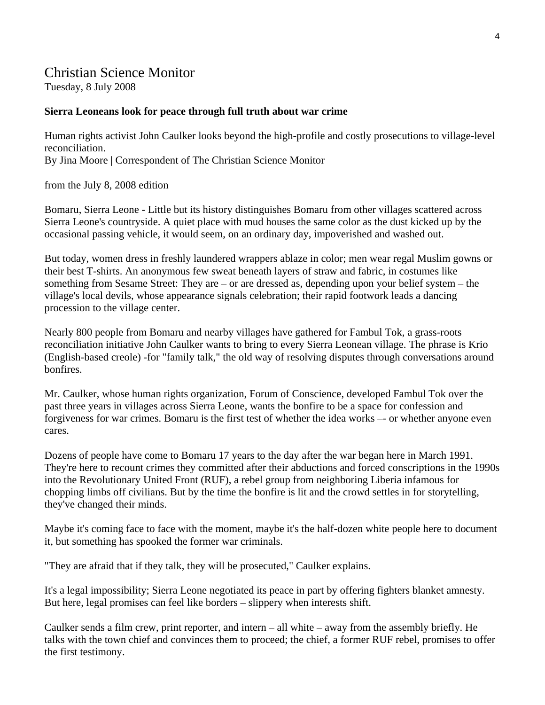#### Christian Science Monitor

Tuesday, 8 July 2008

#### **Sierra Leoneans look for peace through full truth about war crime**

Human rights activist John Caulker looks beyond the high-profile and costly prosecutions to village-level reconciliation. By Jina Moore | Correspondent of The Christian Science Monitor

from the July 8, 2008 edition

Bomaru, Sierra Leone - Little but its history distinguishes Bomaru from other villages scattered across Sierra Leone's countryside. A quiet place with mud houses the same color as the dust kicked up by the occasional passing vehicle, it would seem, on an ordinary day, impoverished and washed out.

But today, women dress in freshly laundered wrappers ablaze in color; men wear regal Muslim gowns or their best T-shirts. An anonymous few sweat beneath layers of straw and fabric, in costumes like something from Sesame Street: They are – or are dressed as, depending upon your belief system – the village's local devils, whose appearance signals celebration; their rapid footwork leads a dancing procession to the village center.

Nearly 800 people from Bomaru and nearby villages have gathered for Fambul Tok, a grass-roots reconciliation initiative John Caulker wants to bring to every Sierra Leonean village. The phrase is Krio (English-based creole) -for "family talk," the old way of resolving disputes through conversations around bonfires.

Mr. Caulker, whose human rights organization, Forum of Conscience, developed Fambul Tok over the past three years in villages across Sierra Leone, wants the bonfire to be a space for confession and forgiveness for war crimes. Bomaru is the first test of whether the idea works –- or whether anyone even cares.

Dozens of people have come to Bomaru 17 years to the day after the war began here in March 1991. They're here to recount crimes they committed after their abductions and forced conscriptions in the 1990s into the Revolutionary United Front (RUF), a rebel group from neighboring Liberia infamous for chopping limbs off civilians. But by the time the bonfire is lit and the crowd settles in for storytelling, they've changed their minds.

Maybe it's coming face to face with the moment, maybe it's the half-dozen white people here to document it, but something has spooked the former war criminals.

"They are afraid that if they talk, they will be prosecuted," Caulker explains.

It's a legal impossibility; Sierra Leone negotiated its peace in part by offering fighters blanket amnesty. But here, legal promises can feel like borders – slippery when interests shift.

Caulker sends a film crew, print reporter, and intern – all white – away from the assembly briefly. He talks with the town chief and convinces them to proceed; the chief, a former RUF rebel, promises to offer the first testimony.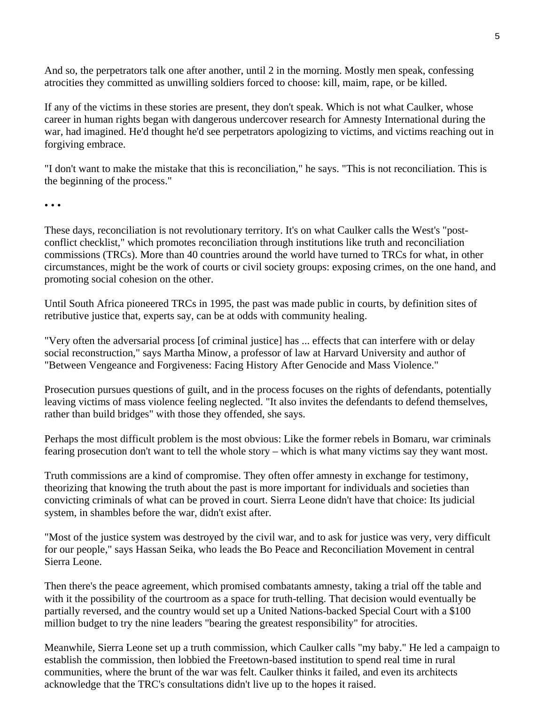And so, the perpetrators talk one after another, until 2 in the morning. Mostly men speak, confessing atrocities they committed as unwilling soldiers forced to choose: kill, maim, rape, or be killed.

If any of the victims in these stories are present, they don't speak. Which is not what Caulker, whose career in human rights began with dangerous undercover research for Amnesty International during the war, had imagined. He'd thought he'd see perpetrators apologizing to victims, and victims reaching out in forgiving embrace.

"I don't want to make the mistake that this is reconciliation," he says. "This is not reconciliation. This is the beginning of the process."

• • •

These days, reconciliation is not revolutionary territory. It's on what Caulker calls the West's "postconflict checklist," which promotes reconciliation through institutions like truth and reconciliation commissions (TRCs). More than 40 countries around the world have turned to TRCs for what, in other circumstances, might be the work of courts or civil society groups: exposing crimes, on the one hand, and promoting social cohesion on the other.

Until South Africa pioneered TRCs in 1995, the past was made public in courts, by definition sites of retributive justice that, experts say, can be at odds with community healing.

"Very often the adversarial process [of criminal justice] has ... effects that can interfere with or delay social reconstruction," says Martha Minow, a professor of law at Harvard University and author of "Between Vengeance and Forgiveness: Facing History After Genocide and Mass Violence."

Prosecution pursues questions of guilt, and in the process focuses on the rights of defendants, potentially leaving victims of mass violence feeling neglected. "It also invites the defendants to defend themselves, rather than build bridges" with those they offended, she says.

Perhaps the most difficult problem is the most obvious: Like the former rebels in Bomaru, war criminals fearing prosecution don't want to tell the whole story – which is what many victims say they want most.

Truth commissions are a kind of compromise. They often offer amnesty in exchange for testimony, theorizing that knowing the truth about the past is more important for individuals and societies than convicting criminals of what can be proved in court. Sierra Leone didn't have that choice: Its judicial system, in shambles before the war, didn't exist after.

"Most of the justice system was destroyed by the civil war, and to ask for justice was very, very difficult for our people," says Hassan Seika, who leads the Bo Peace and Reconciliation Movement in central Sierra Leone.

Then there's the peace agreement, which promised combatants amnesty, taking a trial off the table and with it the possibility of the courtroom as a space for truth-telling. That decision would eventually be partially reversed, and the country would set up a United Nations-backed Special Court with a \$100 million budget to try the nine leaders "bearing the greatest responsibility" for atrocities.

Meanwhile, Sierra Leone set up a truth commission, which Caulker calls "my baby." He led a campaign to establish the commission, then lobbied the Freetown-based institution to spend real time in rural communities, where the brunt of the war was felt. Caulker thinks it failed, and even its architects acknowledge that the TRC's consultations didn't live up to the hopes it raised.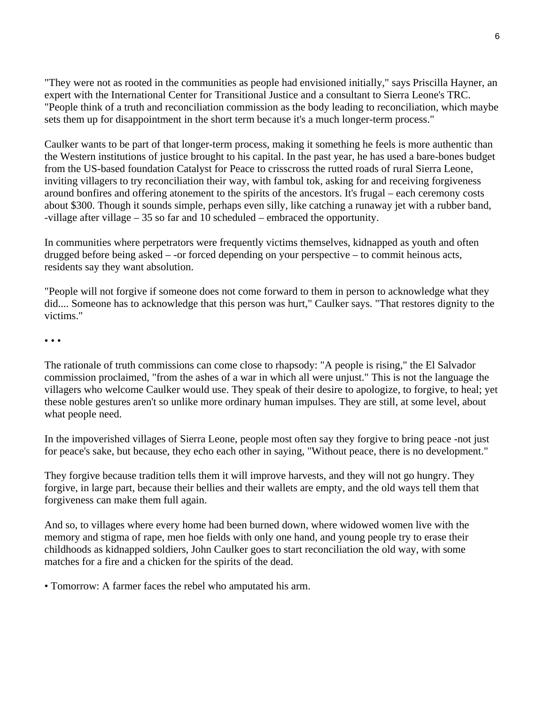"They were not as rooted in the communities as people had envisioned initially," says Priscilla Hayner, an expert with the International Center for Transitional Justice and a consultant to Sierra Leone's TRC. "People think of a truth and reconciliation commission as the body leading to reconciliation, which maybe sets them up for disappointment in the short term because it's a much longer-term process."

Caulker wants to be part of that longer-term process, making it something he feels is more authentic than the Western institutions of justice brought to his capital. In the past year, he has used a bare-bones budget from the US-based foundation Catalyst for Peace to crisscross the rutted roads of rural Sierra Leone, inviting villagers to try reconciliation their way, with fambul tok, asking for and receiving forgiveness around bonfires and offering atonement to the spirits of the ancestors. It's frugal – each ceremony costs about \$300. Though it sounds simple, perhaps even silly, like catching a runaway jet with a rubber band, -village after village – 35 so far and 10 scheduled – embraced the opportunity.

In communities where perpetrators were frequently victims themselves, kidnapped as youth and often drugged before being asked – -or forced depending on your perspective – to commit heinous acts, residents say they want absolution.

"People will not forgive if someone does not come forward to them in person to acknowledge what they did.... Someone has to acknowledge that this person was hurt," Caulker says. "That restores dignity to the victims."

• • •

The rationale of truth commissions can come close to rhapsody: "A people is rising," the El Salvador commission proclaimed, "from the ashes of a war in which all were unjust." This is not the language the villagers who welcome Caulker would use. They speak of their desire to apologize, to forgive, to heal; yet these noble gestures aren't so unlike more ordinary human impulses. They are still, at some level, about what people need.

In the impoverished villages of Sierra Leone, people most often say they forgive to bring peace -not just for peace's sake, but because, they echo each other in saying, "Without peace, there is no development."

They forgive because tradition tells them it will improve harvests, and they will not go hungry. They forgive, in large part, because their bellies and their wallets are empty, and the old ways tell them that forgiveness can make them full again.

And so, to villages where every home had been burned down, where widowed women live with the memory and stigma of rape, men hoe fields with only one hand, and young people try to erase their childhoods as kidnapped soldiers, John Caulker goes to start reconciliation the old way, with some matches for a fire and a chicken for the spirits of the dead.

• Tomorrow: A farmer faces the rebel who amputated his arm.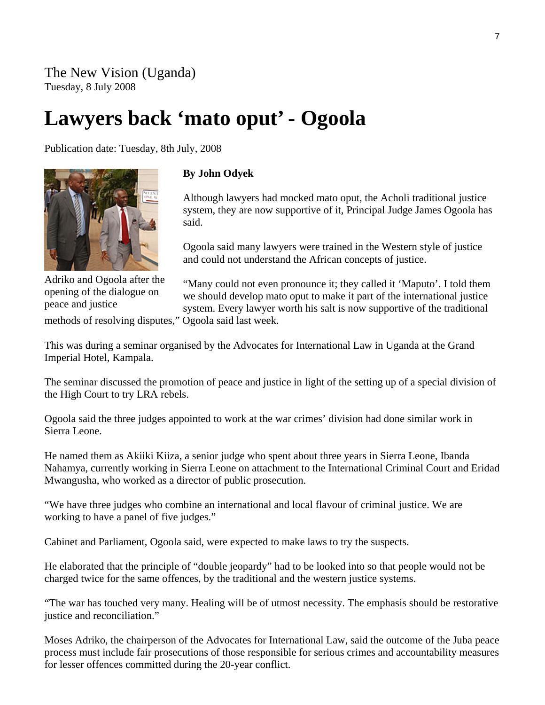# **Lawyers back 'mato oput' - Ogoola**

Publication date: Tuesday, 8th July, 2008



Adriko and Ogoola after the opening of the dialogue on peace and justice

#### **By John Odyek**

Although lawyers had mocked mato oput, the Acholi traditional justice system, they are now supportive of it, Principal Judge James Ogoola has said.

Ogoola said many lawyers were trained in the Western style of justice and could not understand the African concepts of justice.

"Many could not even pronounce it; they called it 'Maputo'. I told them we should develop mato oput to make it part of the international justice system. Every lawyer worth his salt is now supportive of the traditional

methods of resolving disputes," Ogoola said last week.

This was during a seminar organised by the Advocates for International Law in Uganda at the Grand Imperial Hotel, Kampala.

The seminar discussed the promotion of peace and justice in light of the setting up of a special division of the High Court to try LRA rebels.

Ogoola said the three judges appointed to work at the war crimes' division had done similar work in Sierra Leone.

He named them as Akiiki Kiiza, a senior judge who spent about three years in Sierra Leone, Ibanda Nahamya, currently working in Sierra Leone on attachment to the International Criminal Court and Eridad Mwangusha, who worked as a director of public prosecution.

"We have three judges who combine an international and local flavour of criminal justice. We are working to have a panel of five judges."

Cabinet and Parliament, Ogoola said, were expected to make laws to try the suspects.

He elaborated that the principle of "double jeopardy" had to be looked into so that people would not be charged twice for the same offences, by the traditional and the western justice systems.

"The war has touched very many. Healing will be of utmost necessity. The emphasis should be restorative justice and reconciliation."

Moses Adriko, the chairperson of the Advocates for International Law, said the outcome of the Juba peace process must include fair prosecutions of those responsible for serious crimes and accountability measures for lesser offences committed during the 20-year conflict.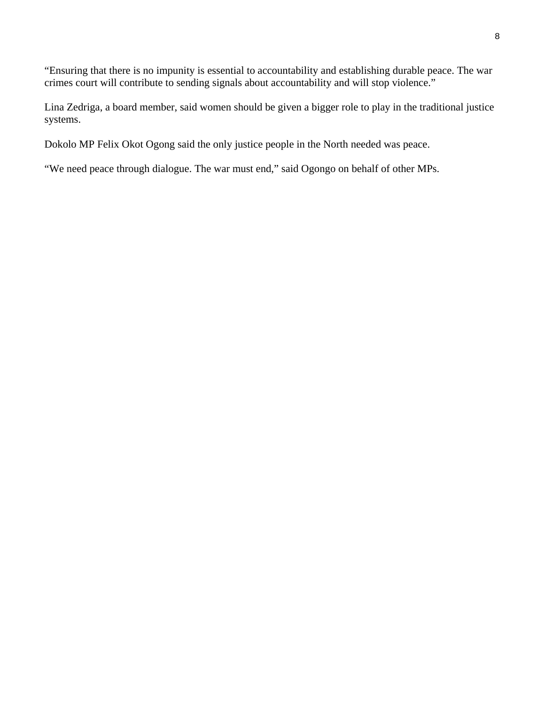"Ensuring that there is no impunity is essential to accountability and establishing durable peace. The war crimes court will contribute to sending signals about accountability and will stop violence."

Lina Zedriga, a board member, said women should be given a bigger role to play in the traditional justice systems.

Dokolo MP Felix Okot Ogong said the only justice people in the North needed was peace.

"We need peace through dialogue. The war must end," said Ogongo on behalf of other MPs.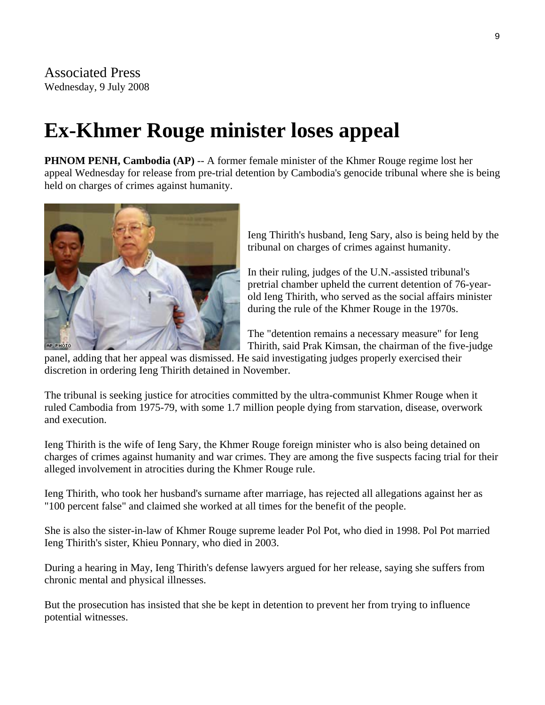# **Ex-Khmer Rouge minister loses appeal**

**PHNOM PENH, Cambodia (AP)** -- A former female minister of the Khmer Rouge regime lost her appeal Wednesday for release from pre-trial detention by Cambodia's genocide tribunal where she is being held on charges of crimes against humanity.



Ieng Thirith's husband, Ieng Sary, also is being held by t he tribunal on charges of crimes against humanity.

In their ruling, judges of the U.N.-assisted tribunal's pretrial chamber upheld the current detention of 76-yearold Ieng Thirith, who served as the social affairs minister during the rule of the Khmer Rouge in the 1970s.

The "detention remains a necessary measure" for Ieng Thirith, said Prak Kimsan, the chairman of the five-judge

panel, adding that her appeal was dismissed. He said investigating judges properly exercised their discretion in ordering Ieng Thirith detained in November.

The tribunal is seeking justice for atrocities committed by the ultra-communist Khmer Rouge when it ruled Cambodia from 1975-79, with some 1.7 million people dying from starvation, disease, overwork and execution.

Ieng Thirith is the wife of Ieng Sary, the [Khmer Rouge](http://topics.edition.cnn.com/topics/Khmer_Rouge) foreign minister who is also being detained on charges of crimes against humanity and war crimes. They are among the five suspects facing trial for their alleged involvement in atrocities during the Khmer Rouge rule.

Ieng Thirith, who took her husband's surname after marriage, has rejected all allegations against her as "100 percent false" and claimed she worked at all times for the benefit of the people.

She is also the sister-in-law of Khmer Rouge supreme leader Pol Pot, who died in 1998. Pol Pot married Ieng Thirith's sister, Khieu Ponnary, who died in 2003.

During a hearing in May, Ieng Thirith's defense lawyers argued for her release, saying she suffers from chronic mental and physical illnesses.

But the prosecution has insisted that she be kept in detention to prevent her from trying to influence potential witnesses.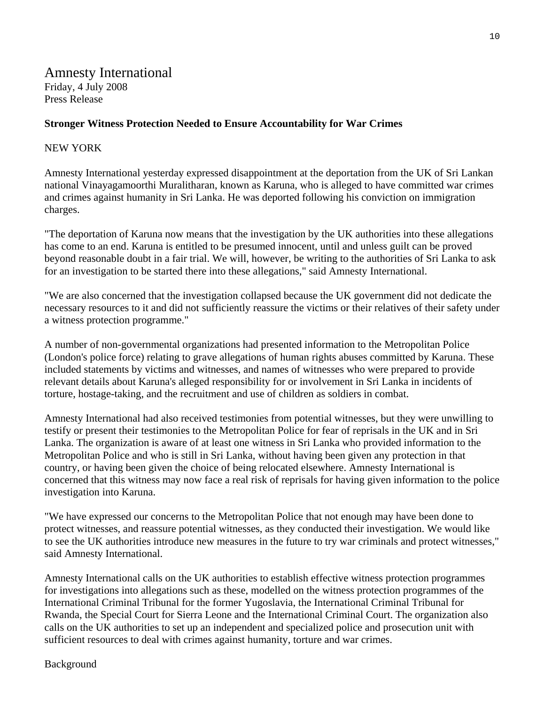#### **Stronger Witness Protection Needed to Ensure Accountability for War Crimes**

#### NEW YORK

Amnesty International yesterday expressed disappointment at the deportation from the UK of Sri Lankan national Vinayagamoorthi Muralitharan, known as Karuna, who is alleged to have committed war crimes and crimes against humanity in Sri Lanka. He was deported following his conviction on immigration charges.

"The deportation of Karuna now means that the investigation by the UK authorities into these allegations has come to an end. Karuna is entitled to be presumed innocent, until and unless guilt can be proved beyond reasonable doubt in a fair trial. We will, however, be writing to the authorities of Sri Lanka to ask for an investigation to be started there into these allegations," said Amnesty International.

"We are also concerned that the investigation collapsed because the UK government did not dedicate the necessary resources to it and did not sufficiently reassure the victims or their relatives of their safety under a witness protection programme."

A number of non-governmental organizations had presented information to the Metropolitan Police (London's police force) relating to grave allegations of human rights abuses committed by Karuna. These included statements by victims and witnesses, and names of witnesses who were prepared to provide relevant details about Karuna's alleged responsibility for or involvement in Sri Lanka in incidents of torture, hostage-taking, and the recruitment and use of children as soldiers in combat.

Amnesty International had also received testimonies from potential witnesses, but they were unwilling to testify or present their testimonies to the Metropolitan Police for fear of reprisals in the UK and in Sri Lanka. The organization is aware of at least one witness in Sri Lanka who provided information to the Metropolitan Police and who is still in Sri Lanka, without having been given any protection in that country, or having been given the choice of being relocated elsewhere. Amnesty International is concerned that this witness may now face a real risk of reprisals for having given information to the police investigation into Karuna.

"We have expressed our concerns to the Metropolitan Police that not enough may have been done to protect witnesses, and reassure potential witnesses, as they conducted their investigation. We would like to see the UK authorities introduce new measures in the future to try war criminals and protect witnesses," said Amnesty International.

Amnesty International calls on the UK authorities to establish effective witness protection programmes for investigations into allegations such as these, modelled on the witness protection programmes of the International Criminal Tribunal for the former Yugoslavia, the International Criminal Tribunal for Rwanda, the Special Court for Sierra Leone and the International Criminal Court. The organization also calls on the UK authorities to set up an independent and specialized police and prosecution unit with sufficient resources to deal with crimes against humanity, torture and war crimes.

#### Background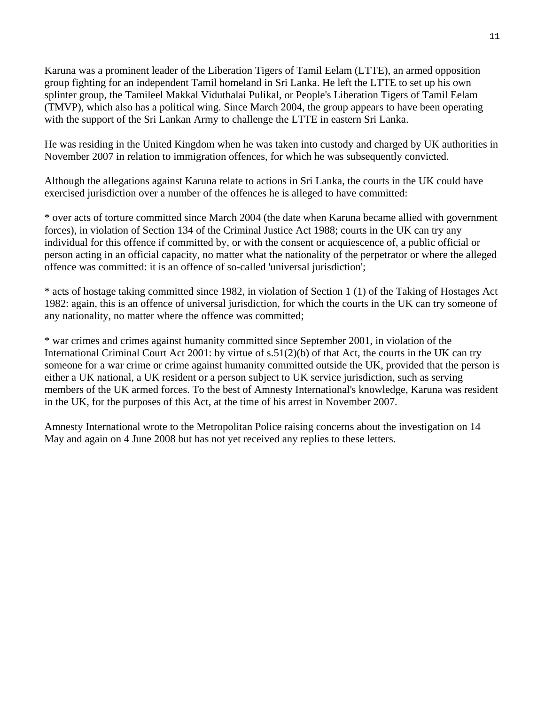Karuna was a prominent leader of the Liberation Tigers of Tamil Eelam (LTTE), an armed opposition group fighting for an independent Tamil homeland in Sri Lanka. He left the LTTE to set up his own splinter group, the Tamileel Makkal Viduthalai Pulikal, or People's Liberation Tigers of Tamil Eelam (TMVP), which also has a political wing. Since March 2004, the group appears to have been operating with the support of the Sri Lankan Army to challenge the LTTE in eastern Sri Lanka.

He was residing in the United Kingdom when he was taken into custody and charged by UK authorities in November 2007 in relation to immigration offences, for which he was subsequently convicted.

Although the allegations against Karuna relate to actions in Sri Lanka, the courts in the UK could have exercised jurisdiction over a number of the offences he is alleged to have committed:

\* over acts of torture committed since March 2004 (the date when Karuna became allied with government forces), in violation of Section 134 of the Criminal Justice Act 1988; courts in the UK can try any individual for this offence if committed by, or with the consent or acquiescence of, a public official or person acting in an official capacity, no matter what the nationality of the perpetrator or where the alleged offence was committed: it is an offence of so-called 'universal jurisdiction';

\* acts of hostage taking committed since 1982, in violation of Section 1 (1) of the Taking of Hostages Act 1982: again, this is an offence of universal jurisdiction, for which the courts in the UK can try someone of any nationality, no matter where the offence was committed;

\* war crimes and crimes against humanity committed since September 2001, in violation of the International Criminal Court Act 2001: by virtue of s.51(2)(b) of that Act, the courts in the UK can try someone for a war crime or crime against humanity committed outside the UK, provided that the person is either a UK national, a UK resident or a person subject to UK service jurisdiction, such as serving members of the UK armed forces. To the best of Amnesty International's knowledge, Karuna was resident in the UK, for the purposes of this Act, at the time of his arrest in November 2007.

Amnesty International wrote to the Metropolitan Police raising concerns about the investigation on 14 May and again on 4 June 2008 but has not yet received any replies to these letters.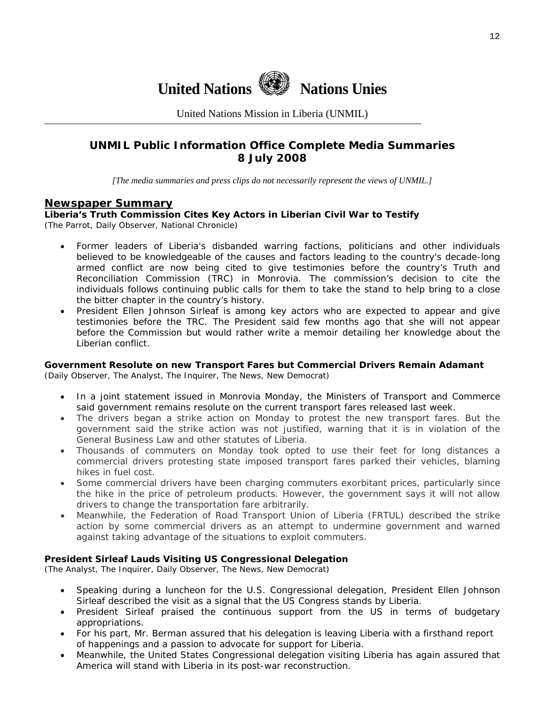

United Nations Mission in Liberia (UNMIL)

#### **UNMIL Public Information Office Complete Media Summaries 8 July 2008**

*[The media summaries and press clips do not necessarily represent the views of UNMIL.]* 

#### **Newspaper Summary**

#### **Liberia's Truth Commission Cites Key Actors in Liberian Civil War to Testify**  (The Parrot, Daily Observer, National Chronicle)

- Former leaders of Liberia's disbanded warring factions, politicians and other individuals believed to be knowledgeable of the causes and factors leading to the country's decade-long armed conflict are now being cited to give testimonies before the country's Truth and Reconciliation Commission (TRC) in Monrovia. The commission's decision to cite the individuals follows continuing public calls for them to take the stand to help bring to a close the bitter chapter in the country's history.
- President Ellen Johnson Sirleaf is among key actors who are expected to appear and give testimonies before the TRC. The President said few months ago that she will not appear before the Commission but would rather write a memoir detailing her knowledge about the Liberian conflict.

#### **Government Resolute on new Transport Fares but Commercial Drivers Remain Adamant**

(Daily Observer, The Analyst, The Inquirer, The News, New Democrat)

- In a joint statement issued in Monrovia Monday, the Ministers of Transport and Commerce said government remains resolute on the current transport fares released last week.
- The drivers began a strike action on Monday to protest the new transport fares. But the government said the strike action was not justified, warning that it is in violation of the General Business Law and other statutes of Liberia.
- Thousands of commuters on Monday took opted to use their feet for long distances a commercial drivers protesting state imposed transport fares parked their vehicles, blaming hikes in fuel cost.
- Some commercial drivers have been charging commuters exorbitant prices, particularly since the hike in the price of petroleum products. However, the government says it will not allow drivers to change the transportation fare arbitrarily.
- Meanwhile, the Federation of Road Transport Union of Liberia (FRTUL) described the strike action by some commercial drivers as an attempt to undermine government and warned against taking advantage of the situations to exploit commuters.

#### **President Sirleaf Lauds Visiting US Congressional Delegation**

(The Analyst, The Inquirer, Daily Observer, The News, New Democrat)

- Speaking during a luncheon for the U.S. Congressional delegation, President Ellen Johnson Sirleaf described the visit as a signal that the US Congress stands by Liberia.
- President Sirleaf praised the continuous support from the US in terms of budgetary appropriations.
- For his part, Mr. Berman assured that his delegation is leaving Liberia with a firsthand report of happenings and a passion to advocate for support for Liberia.
- Meanwhile, the United States Congressional delegation visiting Liberia has again assured that America will stand with Liberia in its post-war reconstruction.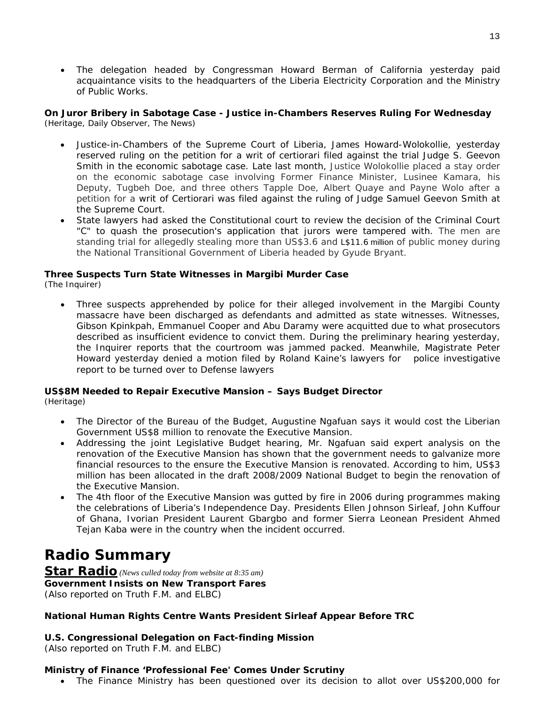• The delegation headed by Congressman Howard Berman of California yesterday paid acquaintance visits to the headquarters of the Liberia Electricity Corporation and the Ministry of Public Works.

#### **On Juror Bribery in Sabotage Case - Justice in-Chambers Reserves Ruling For Wednesday**  (Heritage, Daily Observer, The News)

- Justice-in-Chambers of the Supreme Court of Liberia, James Howard-Wolokollie, yesterday reserved ruling on the petition for a writ of certiorari filed against the trial Judge S. Geevon Smith in the economic sabotage case. Late last month, Justice Wolokollie placed a stay order on the economic sabotage case involving Former Finance Minister, Lusinee Kamara, his Deputy, Tugbeh Doe, and three others Tapple Doe, Albert Quaye and Payne Wolo after a petition for a writ of Certiorari was filed against the ruling of Judge Samuel Geevon Smith at the Supreme Court.
- State lawyers had asked the Constitutional court to review the decision of the Criminal Court "C" to quash the prosecution's application that jurors were tampered with. The men are standing trial for allegedly stealing more than US\$3.6 and L\$11.6 million of public money during the National Transitional Government of Liberia headed by Gyude Bryant.

#### **Three Suspects Turn State Witnesses in Margibi Murder Case**

(The Inquirer)

• Three suspects apprehended by police for their alleged involvement in the Margibi County massacre have been discharged as defendants and admitted as state witnesses. Witnesses, Gibson Kpinkpah, Emmanuel Cooper and Abu Daramy were acquitted due to what prosecutors described as insufficient evidence to convict them. During the preliminary hearing yesterday, the Inquirer reports that the courtroom was jammed packed. Meanwhile, Magistrate Peter Howard yesterday denied a motion filed by Roland Kaine's lawyers for police investigative report to be turned over to Defense lawyers

#### **US\$8M Needed to Repair Executive Mansion – Says Budget Director**

(Heritage)

- The Director of the Bureau of the Budget, Augustine Ngafuan says it would cost the Liberian Government US\$8 million to renovate the Executive Mansion.
- Addressing the joint Legislative Budget hearing, Mr. Ngafuan said expert analysis on the renovation of the Executive Mansion has shown that the government needs to galvanize more financial resources to the ensure the Executive Mansion is renovated. According to him, US\$3 million has been allocated in the draft 2008/2009 National Budget to begin the renovation of the Executive Mansion.
- The 4th floor of the Executive Mansion was gutted by fire in 2006 during programmes making the celebrations of Liberia's Independence Day. Presidents Ellen Johnson Sirleaf, John Kuffour of Ghana, Ivorian President Laurent Gbargbo and former Sierra Leonean President Ahmed Tejan Kaba were in the country when the incident occurred.

### **Radio Summary**

**Star Radio** *(News culled today from website at 8:35 am)* **Government** *Insists* **on New Transport Fares**  *(Also reported on Truth F.M. and ELBC)*

#### **National Human Rights Centre Wants President Sirleaf Appear Before TRC**

#### **U.S. Congressional Delegation on Fact-finding Mission**

*(Also reported on Truth F.M. and ELBC)*

#### **Ministry of Finance 'Professional Fee' Comes Under Scrutiny**

• The Finance Ministry has been questioned over its decision to allot over US\$200,000 for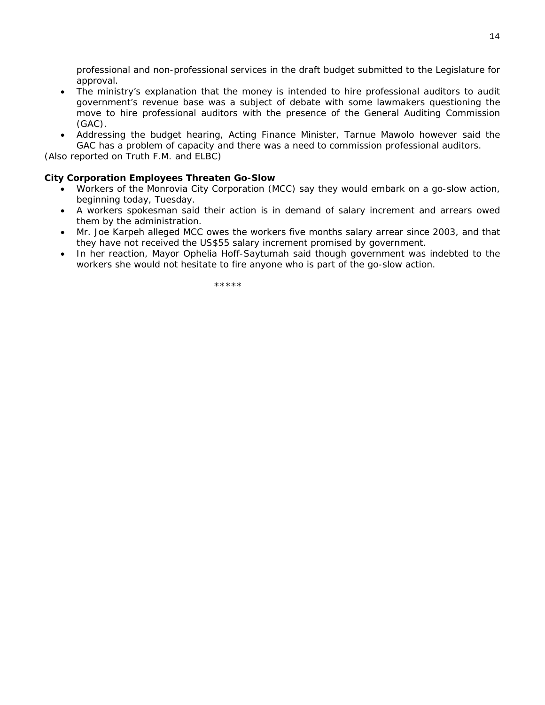professional and non-professional services in the draft budget submitted to the Legislature for approval.

- The ministry's explanation that the money is intended to hire professional auditors to audit government's revenue base was a subject of debate with some lawmakers questioning the move to hire professional auditors with the presence of the General Auditing Commission (GAC).
- Addressing the budget hearing, Acting Finance Minister, Tarnue Mawolo however said the GAC has a problem of capacity and there was a need to commission professional auditors.

*(Also reported on Truth F.M. and ELBC)*

#### **City Corporation Employees Threaten Go-Slow**

- Workers of the Monrovia City Corporation (MCC) say they would embark on a go-slow action, beginning today, Tuesday.
- A workers spokesman said their action is in demand of salary increment and arrears owed them by the administration.
- Mr. Joe Karpeh alleged MCC owes the workers five months salary arrear since 2003, and that they have not received the US\$55 salary increment promised by government.
- In her reaction, Mayor Ophelia Hoff-Saytumah said though government was indebted to the workers she would not hesitate to fire anyone who is part of the go-slow action.

\*\*\*\*\*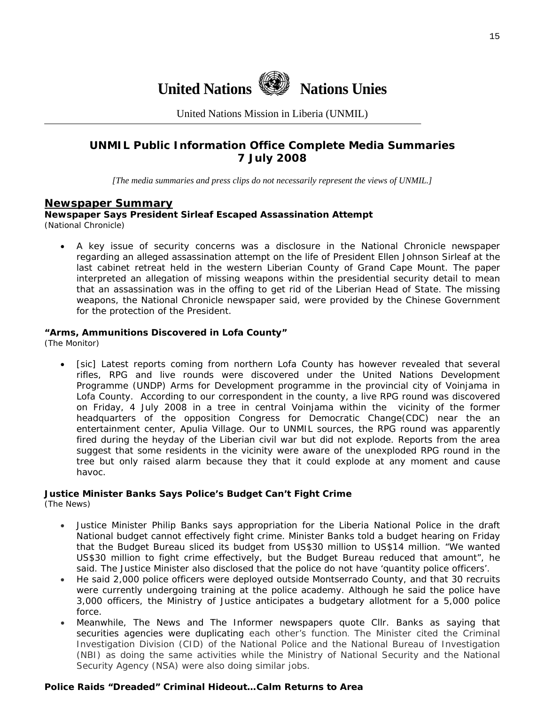

United Nations Mission in Liberia (UNMIL)

#### **UNMIL Public Information Office Complete Media Summaries 7 July 2008**

*[The media summaries and press clips do not necessarily represent the views of UNMIL.]* 

#### **Newspaper Summary**

**Newspaper Says President Sirleaf Escaped Assassination Attempt**  (National Chronicle)

• A key issue of security concerns was a disclosure in the National Chronicle newspaper regarding an alleged assassination attempt on the life of President Ellen Johnson Sirleaf at the last cabinet retreat held in the western Liberian County of Grand Cape Mount. The paper interpreted an allegation of missing weapons within the presidential security detail to mean that an assassination was in the offing to get rid of the Liberian Head of State. The missing weapons, the National Chronicle newspaper said, were provided by the Chinese Government for the protection of the President.

#### **"Arms, Ammunitions Discovered in Lofa County"**

(The Monitor)

[sic] Latest reports coming from northern Lofa County has however revealed that several rifles, RPG and live rounds were discovered under the United Nations Development Programme (UNDP) Arms for Development programme in the provincial city of Voinjama in Lofa County. According to our correspondent in the county, a live RPG round was discovered on Friday, 4 July 2008 in a tree in central Voinjama within the vicinity of the former headquarters of the opposition Congress for Democratic Change(CDC) near the an entertainment center, Apulia Village. Our to UNMIL sources, the RPG round was apparently fired during the heyday of the Liberian civil war but did not explode. Reports from the area suggest that some residents in the vicinity were aware of the unexploded RPG round in the tree but only raised alarm because they that it could explode at any moment and cause havoc.

#### **Justice Minister Banks Says Police's Budget Can't Fight Crime**

(The News)

- Justice Minister Philip Banks says appropriation for the Liberia National Police in the draft National budget cannot effectively fight crime. Minister Banks told a budget hearing on Friday that the Budget Bureau sliced its budget from US\$30 million to US\$14 million. "We wanted US\$30 million to fight crime effectively, but the Budget Bureau reduced that amount", he said. The Justice Minister also disclosed that the police do not have 'quantity police officers'.
- He said 2,000 police officers were deployed outside Montserrado County, and that 30 recruits were currently undergoing training at the police academy. Although he said the police have 3,000 officers, the Ministry of Justice anticipates a budgetary allotment for a 5,000 police force.
- Meanwhile, The News and The Informer newspapers quote Cllr. Banks as saying that securities agencies were duplicating each other's function. The Minister cited the Criminal Investigation Division (CID) of the National Police and the National Bureau of Investigation (NBI) as doing the same activities while the Ministry of National Security and the National Security Agency (NSA) were also doing similar jobs.

#### **Police Raids "Dreaded" Criminal Hideout…Calm Returns to Area**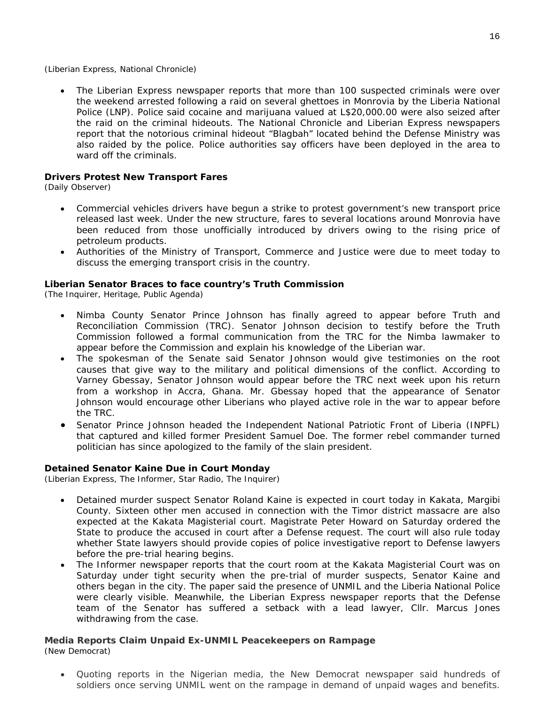(Liberian Express, National Chronicle)

• The Liberian Express newspaper reports that more than 100 suspected criminals were over the weekend arrested following a raid on several ghettoes in Monrovia by the Liberia National Police (LNP). Police said cocaine and marijuana valued at L\$20,000.00 were also seized after the raid on the criminal hideouts. The National Chronicle and Liberian Express newspapers report that the notorious criminal hideout "Blagbah" located behind the Defense Ministry was also raided by the police. Police authorities say officers have been deployed in the area to ward off the criminals.

#### **Drivers Protest New Transport Fares**

(Daily Observer)

- Commercial vehicles drivers have begun a strike to protest government's new transport price released last week. Under the new structure, fares to several locations around Monrovia have been reduced from those unofficially introduced by drivers owing to the rising price of petroleum products.
- Authorities of the Ministry of Transport, Commerce and Justice were due to meet today to discuss the emerging transport crisis in the country.

#### **Liberian Senator Braces to face country's Truth Commission**

(The Inquirer, Heritage, Public Agenda)

- Nimba County Senator Prince Johnson has finally agreed to appear before Truth and Reconciliation Commission (TRC). Senator Johnson decision to testify before the Truth Commission followed a formal communication from the TRC for the Nimba lawmaker to appear before the Commission and explain his knowledge of the Liberian war.
- The spokesman of the Senate said Senator Johnson would give testimonies on the root causes that give way to the military and political dimensions of the conflict. According to Varney Gbessay, Senator Johnson would appear before the TRC next week upon his return from a workshop in Accra, Ghana. Mr. Gbessay hoped that the appearance of Senator Johnson would encourage other Liberians who played active role in the war to appear before the TRC.
- Senator Prince Johnson headed the Independent National Patriotic Front of Liberia (INPFL) that captured and killed former President Samuel Doe. The former rebel commander turned politician has since apologized to the family of the slain president.

#### **Detained Senator Kaine Due in Court Monday**

(Liberian Express, The Informer, Star Radio, The Inquirer)

- Detained murder suspect Senator Roland Kaine is expected in court today in Kakata, Margibi County. Sixteen other men accused in connection with the Timor district massacre are also expected at the Kakata Magisterial court. Magistrate Peter Howard on Saturday ordered the State to produce the accused in court after a Defense request. The court will also rule today whether State lawyers should provide copies of police investigative report to Defense lawyers before the pre-trial hearing begins.
- The Informer newspaper reports that the court room at the Kakata Magisterial Court was on Saturday under tight security when the pre-trial of murder suspects, Senator Kaine and others began in the city. The paper said the presence of UNMIL and the Liberia National Police were clearly visible. Meanwhile, the Liberian Express newspaper reports that the Defense team of the Senator has suffered a setback with a lead lawyer, Cllr. Marcus Jones withdrawing from the case.

#### **Media Reports Claim Unpaid Ex-UNMIL Peacekeepers on Rampage**

(New Democrat)

• Quoting reports in the Nigerian media, the New Democrat newspaper said hundreds of soldiers once serving UNMIL went on the rampage in demand of unpaid wages and benefits.